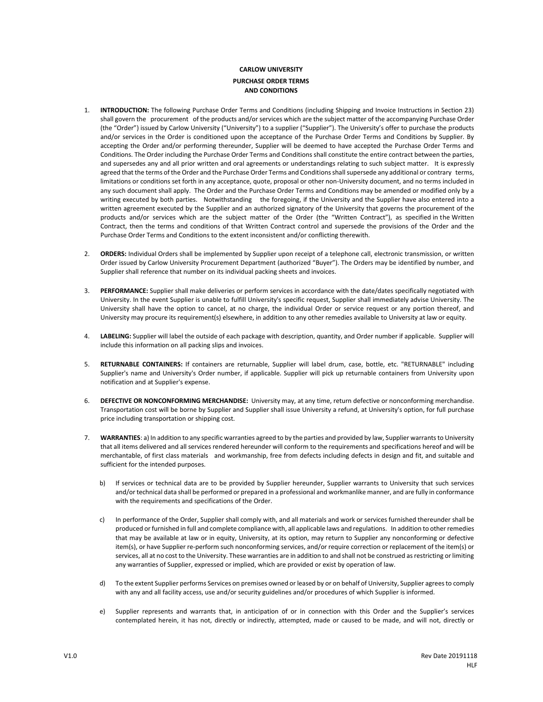## **CARLOW UNIVERSITY PURCHASE ORDER TERMS AND CONDITIONS**

- 1. **INTRODUCTION:** The following Purchase Order Terms and Conditions (including Shipping and Invoice Instructions in Section 23) shall govern the procurement of the products and/or services which are the subject matter of the accompanying Purchase Order (the "Order") issued by Carlow University ("University") to a supplier ("Supplier"). The University's offer to purchase the products and/or services in the Order is conditioned upon the acceptance of the Purchase Order Terms and Conditions by Supplier. By accepting the Order and/or performing thereunder, Supplier will be deemed to have accepted the Purchase Order Terms and Conditions. The Order including the Purchase Order Terms and Conditions shall constitute the entire contract between the parties, and supersedes any and all prior written and oral agreements or understandings relating to such subject matter. It is expressly agreed that the terms of the Order and the Purchase Order Terms and Conditions shall supersede any additional or contrary terms, limitations or conditions set forth in any acceptance, quote, proposal or other non-University document, and no terms included in any such document shall apply. The Order and the Purchase Order Terms and Conditions may be amended or modified only by a writing executed by both parties. Notwithstanding the foregoing, if the University and the Supplier have also entered into a written agreement executed by the Supplier and an authorized signatory of the University that governs the procurement of the products and/or services which are the subject matter of the Order (the "Written Contract"), as specified in the Written Contract, then the terms and conditions of that Written Contract control and supersede the provisions of the Order and the Purchase Order Terms and Conditions to the extent inconsistent and/or conflicting therewith.
- 2. **ORDERS:** Individual Orders shall be implemented by Supplier upon receipt of a telephone call, electronic transmission, or written Order issued by Carlow University Procurement Department (authorized "Buyer"). The Orders may be identified by number, and Supplier shall reference that number on its individual packing sheets and invoices.
- 3. **PERFORMANCE:** Supplier shall make deliveries or perform services in accordance with the date/dates specifically negotiated with University. In the event Supplier is unable to fulfill University's specific request, Supplier shall immediately advise University. The University shall have the option to cancel, at no charge, the individual Order or service request or any portion thereof, and University may procure its requirement(s) elsewhere, in addition to any other remedies available to University at law or equity.
- 4. **LABELING:** Supplier will label the outside of each package with description, quantity, and Order number if applicable. Supplier will include this information on all packing slips and invoices.
- 5. **RETURNABLE CONTAINERS:** If containers are returnable, Supplier will label drum, case, bottle, etc. "RETURNABLE" including Supplier's name and University's Order number, if applicable. Supplier will pick up returnable containers from University upon notification and at Supplier's expense.
- 6. **DEFECTIVE OR NONCONFORMING MERCHANDISE:** University may, at any time, return defective or nonconforming merchandise. Transportation cost will be borne by Supplier and Supplier shall issue University a refund, at University's option, for full purchase price including transportation or shipping cost.
- 7. **WARRANTIES**: a) In addition to any specific warranties agreed to by the parties and provided by law, Supplier warrants to University that all items delivered and all services rendered hereunder will conform to the requirements and specifications hereof and will be merchantable, of first class materials and workmanship, free from defects including defects in design and fit, and suitable and sufficient for the intended purposes.
	- b) If services or technical data are to be provided by Supplier hereunder, Supplier warrants to University that such services and/or technical data shall be performed or prepared in a professional and workmanlike manner, and are fully in conformance with the requirements and specifications of the Order.
	- c) In performance of the Order, Supplier shall comply with, and all materials and work or services furnished thereunder shall be produced or furnished in full and complete compliance with, all applicable laws and regulations. In addition to other remedies that may be available at law or in equity, University, at its option, may return to Supplier any nonconforming or defective item(s), or have Supplier re-perform such nonconforming services, and/or require correction or replacement of the item(s) or services, all at no cost to the University. These warranties are in addition to and shall not be construed as restricting or limiting any warranties of Supplier, expressed or implied, which are provided or exist by operation of law.
	- d) To the extent Supplier performs Services on premises owned or leased by or on behalf of University, Supplier agrees to comply with any and all facility access, use and/or security guidelines and/or procedures of which Supplier is informed.
	- e) Supplier represents and warrants that, in anticipation of or in connection with this Order and the Supplier's services contemplated herein, it has not, directly or indirectly, attempted, made or caused to be made, and will not, directly or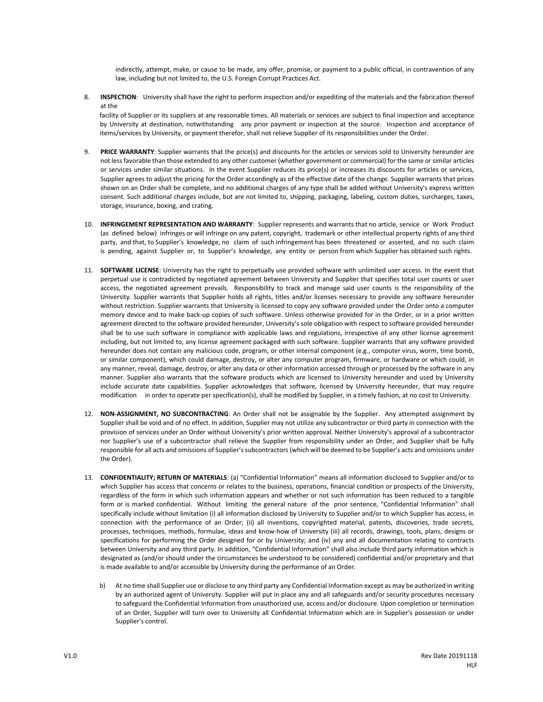indirectly, attempt, make, or cause to be made, any offer, promise, or payment to a public official, in contravention of any law, including but not limited to, the U.S. Foreign Corrupt Practices Act.

8. **INSPECTION**: University shall have the right to perform inspection and/or expediting of the materials and the fabrication thereof at the

facility of Supplier or its suppliers at any reasonable times. All materials or services are subject to final inspection and acceptance by University at destination, notwithstanding any prior payment or inspection at the source. Inspection and acceptance of items/services by University, or payment therefor, shall not relieve Supplier of its responsibilities under the Order.

- 9. **PRICE WARRANTY**: Supplier warrants that the price(s) and discounts for the articles or services sold to University hereunder are not less favorable than those extended to any other customer (whether government or commercial) for the same or similar articles or services under similar situations. In the event Supplier reduces its price(s) or increases its discounts for articles or services, Supplier agrees to adjust the pricing for the Order accordingly as of the effective date of the change. Supplier warrants that prices shown on an Order shall be complete, and no additional charges of any type shall be added without University's express written consent. Such additional charges include, but are not limited to, shipping, packaging, labeling, custom duties, surcharges, taxes, storage, insurance, boxing, and crating.
- 10. **INFRINGEMENT REPRESENTATION AND WARRANTY**: Supplier represents and warrants that no article, service or Work Product (as defined below) infringes or will infringe on any patent, copyright, trademark or other intellectual property rights of any third party, and that, to Supplier's knowledge, no claim of such infringement has been threatened or asserted, and no such claim is pending, against Supplier or, to Supplier's knowledge, any entity or person from which Supplier has obtained such rights.
- 11. **SOFTWARE LICENSE**: University has the right to perpetually use provided software with unlimited user access. In the event that perpetual use is contradicted by negotiated agreement between University and Supplier that specifies total user counts or user access, the negotiated agreement prevails. Responsibility to track and manage said user counts is the responsibility of the University. Supplier warrants that Supplier holds all rights, titles and/or licenses necessary to provide any software hereunder without restriction. Supplier warrants that University is licensed to copy any software provided under the Order onto a computer memory device and to make back-up copies of such software. Unless otherwise provided for in the Order, or in a prior written agreement directed to the software provided hereunder, University's sole obligation with respect to software provided hereunder shall be to use such software in compliance with applicable laws and regulations, irrespective of any other license agreement including, but not limited to, any license agreement packaged with such software. Supplier warrants that any software provided hereunder does not contain any malicious code, program, or other internal component (e.g., computer virus, worm, time bomb, or similar component), which could damage, destroy, or alter any computer program, firmware, or hardware or which could, in any manner, reveal, damage, destroy, or alter any data or other information accessed through or processed by the software in any manner. Supplier also warrants that the software products which are licensed to University hereunder and used by University include accurate date capabilities. Supplier acknowledges that software, licensed by University hereunder, that may require modification in order to operate per specification(s), shall be modified by Supplier, in a timely fashion, at no cost to University.
- 12. **NON-ASSIGNMENT, NO SUBCONTRACTING**: An Order shall not be assignable by the Supplier. Any attempted assignment by Supplier shall be void and of no effect. In addition, Supplier may not utilize any subcontractor or third party in connection with the provision of services under an Order without University's prior written approval. Neither University's approval of a subcontractor nor Supplier's use of a subcontractor shall relieve the Supplier from responsibility under an Order, and Supplier shall be fully responsible for all acts and omissions of Supplier's subcontractors (which will be deemed to be Supplier's acts and omissions under the Order).
- 13. **CONFIDENTIALITY; RETURN OF MATERIALS**: (a) "Confidential Information" means all information disclosed to Supplier and/or to which Supplier has access that concerns or relates to the business, operations, financial condition or prospects of the University, regardless of the form in which such information appears and whether or not such information has been reduced to a tangible form or is marked confidential. Without limiting the general nature of the prior sentence, "Confidential Information" shall specifically include without limitation (i) all information disclosed by University to Supplier and/or to which Supplier has access, in connection with the performance of an Order; (ii) all inventions, copyrighted material, patents, discoveries, trade secrets, processes, techniques, methods, formulae, ideas and know-how of University (iii) all records, drawings, tools, plans, designs or specifications for performing the Order designed for or by University; and (iv) any and all documentation relating to contracts between University and any third party. In addition, "Confidential Information" shall also include third party information which is designated as (and/or should under the circumstances be understood to be considered) confidential and/or proprietary and that is made available to and/or accessible by University during the performance of an Order.
	- b) At no time shall Supplier use or disclose to any third party any Confidential Information except as may be authorized in writing by an authorized agent of University. Supplier will put in place any and all safeguards and/or security procedures necessary to safeguard the Confidential Information from unauthorized use, access and/or disclosure. Upon completion or termination of an Order, Supplier will turn over to University all Confidential Information which are in Supplier's possession or under Supplier's control.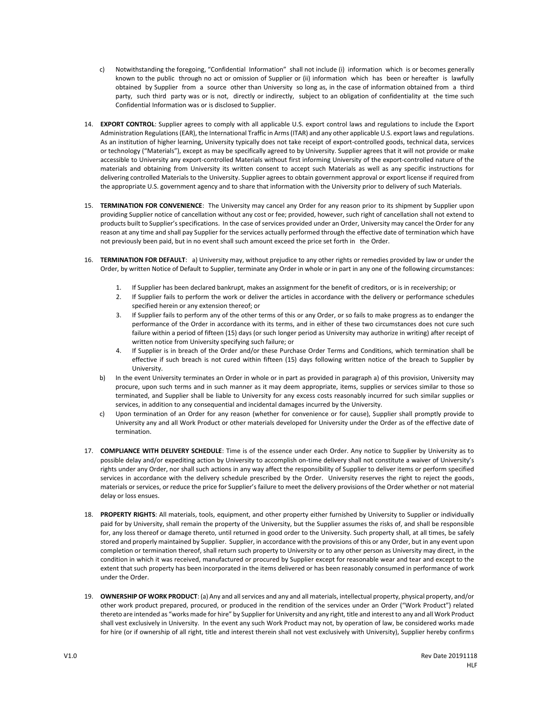- c) Notwithstanding the foregoing, "Confidential Information" shall not include (i) information which is or becomes generally known to the public through no act or omission of Supplier or (ii) information which has been or hereafter is lawfully obtained by Supplier from a source other than University so long as, in the case of information obtained from a third party, such third party was or is not, directly or indirectly, subject to an obligation of confidentiality at the time such Confidential Information was or is disclosed to Supplier.
- 14. **EXPORT CONTROL**: Supplier agrees to comply with all applicable U.S. export control laws and regulations to include the Export Administration Regulations (EAR), the International Traffic in Arms (ITAR) and any other applicable U.S. export laws and regulations. As an institution of higher learning, University typically does not take receipt of export-controlled goods, technical data, services or technology ("Materials"), except as may be specifically agreed to by University. Supplier agrees that it will not provide or make accessible to University any export-controlled Materials without first informing University of the export-controlled nature of the materials and obtaining from University its written consent to accept such Materials as well as any specific instructions for delivering controlled Materials to the University. Supplier agrees to obtain government approval or export license if required from the appropriate U.S. government agency and to share that information with the University prior to delivery of such Materials.
- 15. **TERMINATION FOR CONVENIENCE**: The University may cancel any Order for any reason prior to its shipment by Supplier upon providing Supplier notice of cancellation without any cost or fee; provided, however, such right of cancellation shall not extend to products built to Supplier's specifications. In the case of services provided under an Order, University may cancel the Order for any reason at any time and shall pay Supplier for the services actually performed through the effective date of termination which have not previously been paid, but in no event shall such amount exceed the price set forth in the Order.
- 16. **TERMINATION FOR DEFAULT**: a) University may, without prejudice to any other rights or remedies provided by law or under the Order, by written Notice of Default to Supplier, terminate any Order in whole or in part in any one of the following circumstances:
	- 1. If Supplier has been declared bankrupt, makes an assignment for the benefit of creditors, or is in receivership; or
	- 2. If Supplier fails to perform the work or deliver the articles in accordance with the delivery or performance schedules specified herein or any extension thereof; or
	- 3. If Supplier fails to perform any of the other terms of this or any Order, or so fails to make progress as to endanger the performance of the Order in accordance with its terms, and in either of these two circumstances does not cure such failure within a period of fifteen (15) days (or such longer period as University may authorize in writing) after receipt of written notice from University specifying such failure; or
	- 4. If Supplier is in breach of the Order and/or these Purchase Order Terms and Conditions, which termination shall be effective if such breach is not cured within fifteen (15) days following written notice of the breach to Supplier by University.
	- b) In the event University terminates an Order in whole or in part as provided in paragraph a) of this provision, University may procure, upon such terms and in such manner as it may deem appropriate, items, supplies or services similar to those so terminated, and Supplier shall be liable to University for any excess costs reasonably incurred for such similar supplies or services, in addition to any consequential and incidental damages incurred by the University.
	- c) Upon termination of an Order for any reason (whether for convenience or for cause), Supplier shall promptly provide to University any and all Work Product or other materials developed for University under the Order as of the effective date of termination.
- 17. **COMPLIANCE WITH DELIVERY SCHEDULE**: Time is of the essence under each Order. Any notice to Supplier by University as to possible delay and/or expediting action by University to accomplish on-time delivery shall not constitute a waiver of University's rights under any Order, nor shall such actions in any way affect the responsibility of Supplier to deliver items or perform specified services in accordance with the delivery schedule prescribed by the Order. University reserves the right to reject the goods, materials or services, or reduce the price for Supplier's failure to meet the delivery provisions of the Order whether or not material delay or loss ensues.
- 18. **PROPERTY RIGHTS**: All materials, tools, equipment, and other property either furnished by University to Supplier or individually paid for by University, shall remain the property of the University, but the Supplier assumes the risks of, and shall be responsible for, any loss thereof or damage thereto, until returned in good order to the University. Such property shall, at all times, be safely stored and properly maintained by Supplier. Supplier, in accordance with the provisions of this or any Order, but in any event upon completion or termination thereof, shall return such property to University or to any other person as University may direct, in the condition in which it was received, manufactured or procured by Supplier except for reasonable wear and tear and except to the extent that such property has been incorporated in the items delivered or has been reasonably consumed in performance of work under the Order.
- 19. **OWNERSHIP OF WORK PRODUCT**: (a) Any and all services and any and all materials, intellectual property, physical property, and/or other work product prepared, procured, or produced in the rendition of the services under an Order ("Work Product") related thereto are intended as "works made for hire" by Supplier for University and any right, title and interest to any and all Work Product shall vest exclusively in University. In the event any such Work Product may not, by operation of law, be considered works made for hire (or if ownership of all right, title and interest therein shall not vest exclusively with University), Supplier hereby confirms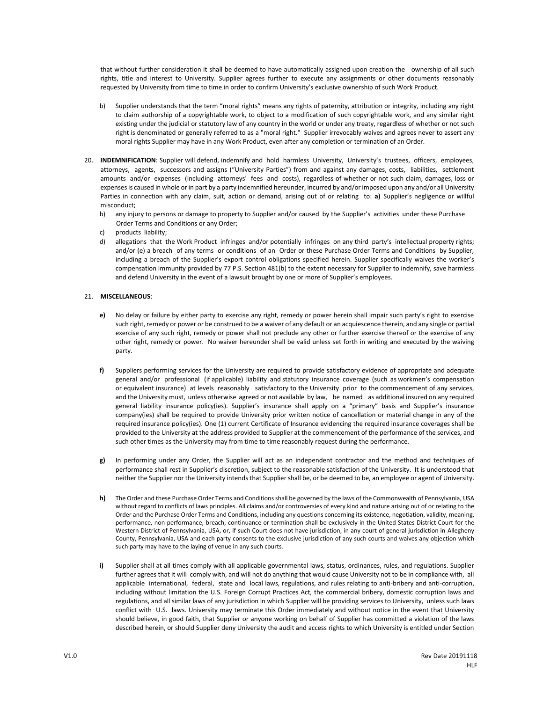that without further consideration it shall be deemed to have automatically assigned upon creation the ownership of all such rights, title and interest to University. Supplier agrees further to execute any assignments or other documents reasonably requested by University from time to time in order to confirm University's exclusive ownership of such Work Product.

- b) Supplier understands that the term "moral rights" means any rights of paternity, attribution or integrity, including any right to claim authorship of a copyrightable work, to object to a modification of such copyrightable work, and any similar right existing under the judicial or statutory law of any country in the world or under any treaty, regardless of whether or not such right is denominated or generally referred to as a "moral right." Supplier irrevocably waives and agrees never to assert any moral rights Supplier may have in any Work Product, even after any completion or termination of an Order.
- 20. **INDEMNIFICATION**: Supplier will defend, indemnify and hold harmless University, University's trustees, officers, employees, attorneys, agents, successors and assigns ("University Parties") from and against any damages, costs, liabilities, settlement amounts and/or expenses (including attorneys' fees and costs), regardless of whether or not such claim, damages, loss or expenses is caused in whole or in part by a party indemnified hereunder, incurred by and/or imposed upon any and/or all University Parties in connection with any claim, suit, action or demand, arising out of or relating to: **a)** Supplier's negligence or willful misconduct;
	- b) any injury to persons or damage to property to Supplier and/or caused by the Supplier's activities under these Purchase Order Terms and Conditions or any Order;
	- c) products liability;
	- d) allegations that the Work Product infringes and/or potentially infringes on any third party's intellectual property rights; and/or (e) a breach of any terms or conditions of an Order or these Purchase Order Terms and Conditions by Supplier, including a breach of the Supplier's export control obligations specified herein. Supplier specifically waives the worker's compensation immunity provided by 77 P.S. Section 481(b) to the extent necessary for Supplier to indemnify, save harmless and defend University in the event of a lawsuit brought by one or more of Supplier's employees.

## 21. **MISCELLANEOUS**:

- **e)** No delay or failure by either party to exercise any right, remedy or power herein shall impair such party's right to exercise such right, remedy or power or be construed to be a waiver of any default or an acquiescence therein, and any single or partial exercise of any such right, remedy or power shall not preclude any other or further exercise thereof or the exercise of any other right, remedy or power. No waiver hereunder shall be valid unless set forth in writing and executed by the waiving party.
- **f)** Suppliers performing services for the University are required to provide satisfactory evidence of appropriate and adequate general and/or professional (if applicable) liability and statutory insurance coverage (such as workmen's compensation or equivalent insurance) at levels reasonably satisfactory to the University prior to the commencement of any services, and the University must, unless otherwise agreed or not available by law, be named as additional insured on any required general liability insurance policy(ies). Supplier's insurance shall apply on a "primary" basis and Supplier's insurance company(ies) shall be required to provide University prior written notice of cancellation or material change in any of the required insurance policy(ies). One (1) current Certificate of Insurance evidencing the required insurance coverages shall be provided to the University at the address provided to Supplier at the commencement of the performance of the services, and such other times as the University may from time to time reasonably request during the performance.
- **g)** In performing under any Order, the Supplier will act as an independent contractor and the method and techniques of performance shall rest in Supplier's discretion, subject to the reasonable satisfaction of the University. It is understood that neither the Supplier nor the University intends that Supplier shall be, or be deemed to be, an employee or agent of University.
- **h)** The Order and these Purchase Order Terms and Conditions shall be governed by the laws of the Commonwealth of Pennsylvania, USA without regard to conflicts of laws principles. All claims and/or controversies of every kind and nature arising out of or relating to the Order and the Purchase Order Terms and Conditions, including any questions concerning its existence, negotiation, validity, meaning, performance, non-performance, breach, continuance or termination shall be exclusively in the United States District Court for the Western District of Pennsylvania, USA, or, if such Court does not have jurisdiction, in any court of general jurisdiction in Allegheny County, Pennsylvania, USA and each party consents to the exclusive jurisdiction of any such courts and waives any objection which such party may have to the laying of venue in any such courts.
- **i)** Supplier shall at all times comply with all applicable governmental laws, status, ordinances, rules, and regulations. Supplier further agrees that it will comply with, and will not do anything that would cause University not to be in compliance with, all applicable international, federal, state and local laws, regulations, and rules relating to anti-bribery and anti-corruption, including without limitation the U.S. Foreign Corrupt Practices Act, the commercial bribery, domestic corruption laws and regulations, and all similar laws of any jurisdiction in which Supplier will be providing services to University, unless such laws conflict with U.S. laws. University may terminate this Order immediately and without notice in the event that University should believe, in good faith, that Supplier or anyone working on behalf of Supplier has committed a violation of the laws described herein, or should Supplier deny University the audit and access rights to which University is entitled under Section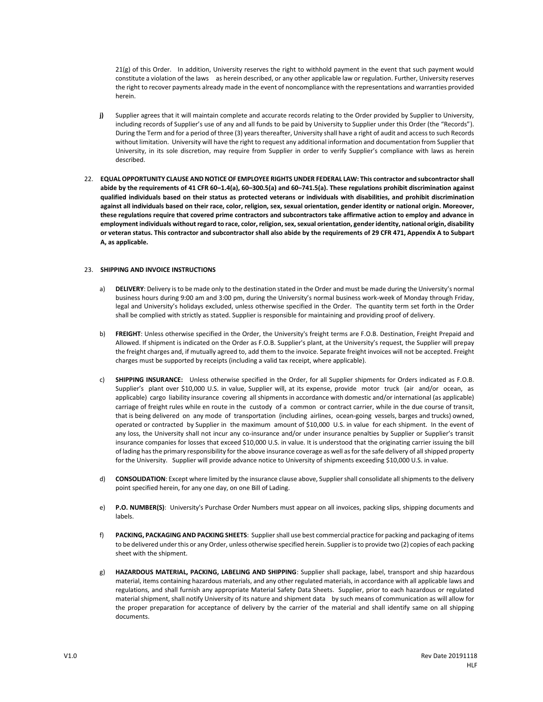21(g) of this Order. In addition, University reserves the right to withhold payment in the event that such payment would constitute a violation of the laws as herein described, or any other applicable law or regulation. Further, University reserves the right to recover payments already made in the event of noncompliance with the representations and warranties provided herein.

- **j)** Supplier agrees that it will maintain complete and accurate records relating to the Order provided by Supplier to University, including records of Supplier's use of any and all funds to be paid by University to Supplier under this Order (the "Records"). During the Term and for a period of three (3) years thereafter, University shall have a right of audit and access to such Records without limitation. University will have the right to request any additional information and documentation from Supplier that University, in its sole discretion, may require from Supplier in order to verify Supplier's compliance with laws as herein described.
- 22. **EQUAL OPPORTUNITY CLAUSE AND NOTICE OF EMPLOYEE RIGHTS UNDER FEDERAL LAW: This contractor and subcontractor shall abide by the requirements of 41 CFR 60–1.4(a), 60–300.5(a) and 60–741.5(a). These regulations prohibit discrimination against qualified individuals based on their status as protected veterans or individuals with disabilities, and prohibit discrimination against all individuals based on their race, color, religion, sex, sexual orientation, gender identity or national origin. Moreover, these regulations require that covered prime contractors and subcontractors take affirmative action to employ and advance in employment individuals without regard to race, color, religion, sex, sexual orientation, gender identity, national origin, disability or veteran status. This contractor and subcontractor shall also abide by the requirements of 29 CFR 471, Appendix A to Subpart A, as applicable.**

## 23. **SHIPPING AND INVOICE INSTRUCTIONS**

- a) **DELIVERY**: Delivery is to be made only to the destination stated in the Order and must be made during the University's normal business hours during 9:00 am and 3:00 pm, during the University's normal business work-week of Monday through Friday, legal and University's holidays excluded, unless otherwise specified in the Order. The quantity term set forth in the Order shall be complied with strictly as stated. Supplier is responsible for maintaining and providing proof of delivery.
- b) **FREIGHT**: Unless otherwise specified in the Order, the University's freight terms are F.O.B. Destination, Freight Prepaid and Allowed. If shipment is indicated on the Order as F.O.B. Supplier's plant, at the University's request, the Supplier will prepay the freight charges and, if mutually agreed to, add them to the invoice. Separate freight invoices will not be accepted. Freight charges must be supported by receipts (including a valid tax receipt, where applicable).
- c) **SHIPPING INSURANCE:** Unless otherwise specified in the Order, for all Supplier shipments for Orders indicated as F.O.B. Supplier's plant over \$10,000 U.S. in value, Supplier will, at its expense, provide motor truck (air and/or ocean, as applicable) cargo liability insurance covering all shipments in accordance with domestic and/or international (as applicable) carriage of freight rules while en route in the custody of a common or contract carrier, while in the due course of transit, that is being delivered on any mode of transportation (including airlines, ocean-going vessels, barges and trucks) owned, operated or contracted by Supplier in the maximum amount of \$10,000 U.S. in value for each shipment. In the event of any loss, the University shall not incur any co-insurance and/or under insurance penalties by Supplier or Supplier's transit insurance companies for losses that exceed \$10,000 U.S. in value. It is understood that the originating carrier issuing the bill of lading has the primary responsibility for the above insurance coverage as well as for the safe delivery of all shipped property for the University. Supplier will provide advance notice to University of shipments exceeding \$10,000 U.S. in value.
- d) **CONSOLIDATION**: Except where limited by the insurance clause above, Supplier shall consolidate all shipments to the delivery point specified herein, for any one day, on one Bill of Lading.
- e) **P.O. NUMBER(S)**: University's Purchase Order Numbers must appear on all invoices, packing slips, shipping documents and labels.
- f) **PACKING, PACKAGING AND PACKING SHEETS**: Supplier shall use best commercial practice for packing and packaging of items to be delivered under this or any Order, unless otherwise specified herein. Supplier is to provide two (2) copies of each packing sheet with the shipment.
- g) **HAZARDOUS MATERIAL, PACKING, LABELING AND SHIPPING**: Supplier shall package, label, transport and ship hazardous material, items containing hazardous materials, and any other regulated materials, in accordance with all applicable laws and regulations, and shall furnish any appropriate Material Safety Data Sheets. Supplier, prior to each hazardous or regulated material shipment, shall notify University of its nature and shipment data by such means of communication as will allow for the proper preparation for acceptance of delivery by the carrier of the material and shall identify same on all shipping documents.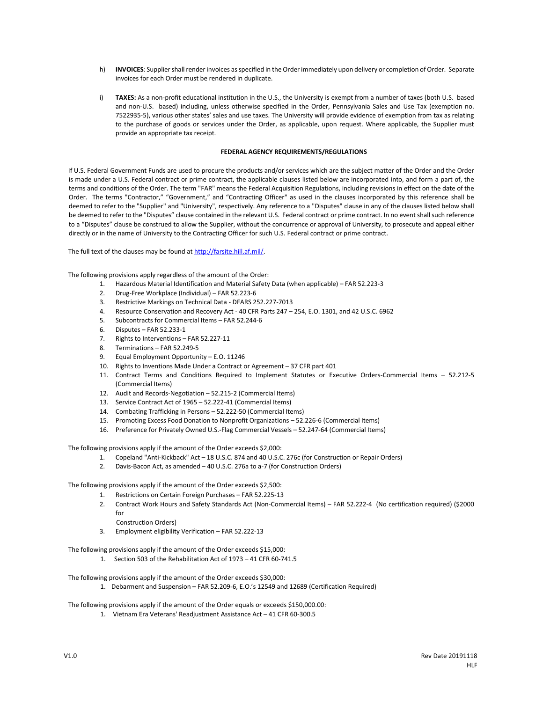- h) **INVOICES**: Supplier shall render invoices as specified in the Order immediately upon delivery or completion of Order. Separate invoices for each Order must be rendered in duplicate.
- i) **TAXES:** As a non-profit educational institution in the U.S., the University is exempt from a number of taxes (both U.S. based and non-U.S. based) including, unless otherwise specified in the Order, Pennsylvania Sales and Use Tax (exemption no. 7522935-5), various other states' sales and use taxes. The University will provide evidence of exemption from tax as relating to the purchase of goods or services under the Order, as applicable, upon request. Where applicable, the Supplier must provide an appropriate tax receipt.

## **FEDERAL AGENCY REQUIREMENTS/REGULATIONS**

If U.S. Federal Government Funds are used to procure the products and/or services which are the subject matter of the Order and the Order is made under a U.S. Federal contract or prime contract, the applicable clauses listed below are incorporated into, and form a part of, the terms and conditions of the Order. The term "FAR" means the Federal Acquisition Regulations, including revisions in effect on the date of the Order. The terms "Contractor," "Government," and "Contracting Officer" as used in the clauses incorporated by this reference shall be deemed to refer to the "Supplier" and "University", respectively. Any reference to a "Disputes" clause in any of the clauses listed below shall be deemed to refer to the "Disputes" clause contained in the relevant U.S. Federal contract or prime contract. In no event shall such reference to a "Disputes" clause be construed to allow the Supplier, without the concurrence or approval of University, to prosecute and appeal either directly or in the name of University to the Contracting Officer for such U.S. Federal contract or prime contract.

The full text of the clauses may be found [at http://farsite.hill.af.mil/.](http://farsite.hill.af.mil/)

The following provisions apply regardless of the amount of the Order:

- 1. Hazardous Material Identification and Material Safety Data (when applicable) FAR 52.223-3
- 2. Drug-Free Workplace (Individual) FAR 52.223-6
- 3. Restrictive Markings on Technical Data DFARS 252.227-7013
- 4. Resource Conservation and Recovery Act 40 CFR Parts 247 254, E.O. 1301, and 42 U.S.C. 6962
- 5. Subcontracts for Commercial Items FAR 52.244-6
- 6. Disputes FAR 52.233-1
- 7. Rights to Interventions FAR 52.227-11
- 8. Terminations FAR 52.249-5
- 9. Equal Employment Opportunity E.O. 11246
- 10. Rights to Inventions Made Under a Contract or Agreement 37 CFR part 401
- 11. Contract Terms and Conditions Required to Implement Statutes or Executive Orders-Commercial Items 52.212-5 (Commercial Items)
- 12. Audit and Records-Negotiation 52.215-2 (Commercial Items)
- 13. Service Contract Act of 1965 52.222-41 (Commercial Items)
- 14. Combating Trafficking in Persons 52.222-50 (Commercial Items)
- 15. Promoting Excess Food Donation to Nonprofit Organizations 52.226-6 (Commercial Items)
- 16. Preference for Privately Owned U.S.-Flag Commercial Vessels 52.247-64 (Commercial Items)

The following provisions apply if the amount of the Order exceeds \$2,000:

- 1. Copeland "Anti-Kickback" Act 18 U.S.C. 874 and 40 U.S.C. 276c (for Construction or Repair Orders)
- 2. Davis-Bacon Act, as amended 40 U.S.C. 276a to a-7 (for Construction Orders)

The following provisions apply if the amount of the Order exceeds \$2,500:

- 1. Restrictions on Certain Foreign Purchases FAR 52.225-13
- 2. Contract Work Hours and Safety Standards Act (Non-Commercial Items) FAR 52.222-4 (No certification required) (\$2000 for
	- Construction Orders)
- 3. Employment eligibility Verification FAR 52.222-13

The following provisions apply if the amount of the Order exceeds \$15,000:

1. Section 503 of the Rehabilitation Act of 1973 – 41 CFR 60-741.5

The following provisions apply if the amount of the Order exceeds \$30,000:

1. Debarment and Suspension – FAR 52.209-6, E.O.'s 12549 and 12689 (Certification Required)

The following provisions apply if the amount of the Order equals or exceeds \$150,000.00:

1. Vietnam Era Veterans' Readjustment Assistance Act – 41 CFR 60-300.5